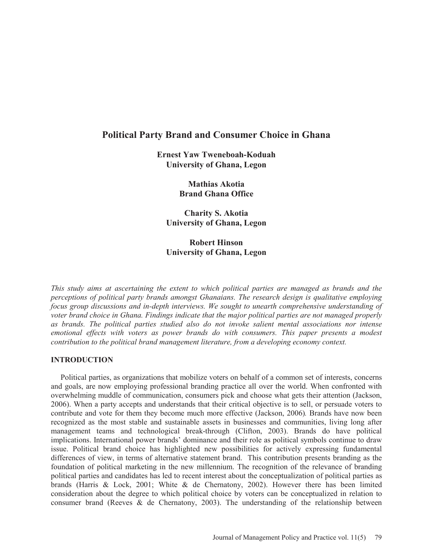# **Political Party Brand and Consumer Choice in Ghana**

**Ernest Yaw Tweneboah-Koduah University of Ghana, Legon** 

> **Mathias Akotia Brand Ghana Office**

**Charity S. Akotia University of Ghana, Legon** 

**Robert Hinson University of Ghana, Legon** 

*This study aims at ascertaining the extent to which political parties are managed as brands and the perceptions of political party brands amongst Ghanaians. The research design is qualitative employing focus group discussions and in-depth interviews. We sought to unearth comprehensive understanding of voter brand choice in Ghana. Findings indicate that the major political parties are not managed properly as brands. The political parties studied also do not invoke salient mental associations nor intense emotional effects with voters as power brands do with consumers. This paper presents a modest contribution to the political brand management literature, from a developing economy context.* 

## **INTRODUCTION**

 Political parties, as organizations that mobilize voters on behalf of a common set of interests, concerns and goals, are now employing professional branding practice all over the world. When confronted with overwhelming muddle of communication, consumers pick and choose what gets their attention (Jackson, 2006). When a party accepts and understands that their critical objective is to sell, or persuade voters to contribute and vote for them they become much more effective (Jackson, 2006)*.* Brands have now been recognized as the most stable and sustainable assets in businesses and communities, living long after management teams and technological break-through (Clifton, 2003). Brands do have political implications. International power brands' dominance and their role as political symbols continue to draw issue. Political brand choice has highlighted new possibilities for actively expressing fundamental differences of view, in terms of alternative statement brand. This contribution presents branding as the foundation of political marketing in the new millennium. The recognition of the relevance of branding political parties and candidates has led to recent interest about the conceptualization of political parties as brands (Harris & Lock, 2001; White & de Chernatony, 2002). However there has been limited consideration about the degree to which political choice by voters can be conceptualized in relation to consumer brand (Reeves  $\&$  de Chernatony, 2003). The understanding of the relationship between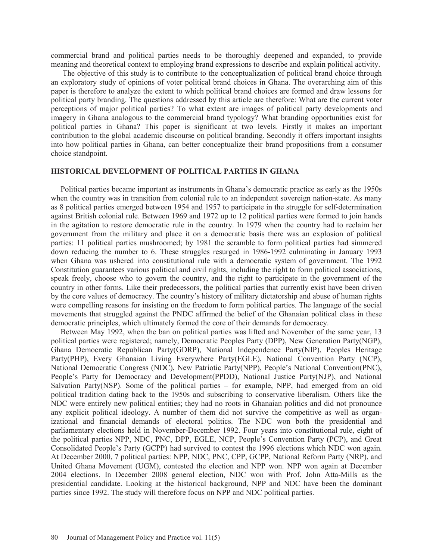commercial brand and political parties needs to be thoroughly deepened and expanded, to provide meaning and theoretical context to employing brand expressions to describe and explain political activity.

 The objective of this study is to contribute to the conceptualization of political brand choice through an exploratory study of opinions of voter political brand choices in Ghana. The overarching aim of this paper is therefore to analyze the extent to which political brand choices are formed and draw lessons for political party branding. The questions addressed by this article are therefore: What are the current voter perceptions of major political parties? To what extent are images of political party developments and imagery in Ghana analogous to the commercial brand typology? What branding opportunities exist for political parties in Ghana? This paper is significant at two levels. Firstly it makes an important contribution to the global academic discourse on political branding. Secondly it offers important insights into how political parties in Ghana, can better conceptualize their brand propositions from a consumer choice standpoint.

### **HISTORICAL DEVELOPMENT OF POLITICAL PARTIES IN GHANA**

 Political parties became important as instruments in Ghana's democratic practice as early as the 1950s when the country was in transition from colonial rule to an independent sovereign nation-state. As many as 8 political parties emerged between 1954 and 1957 to participate in the struggle for self-determination against British colonial rule. Between 1969 and 1972 up to 12 political parties were formed to join hands in the agitation to restore democratic rule in the country. In 1979 when the country had to reclaim her government from the military and place it on a democratic basis there was an explosion of political parties: 11 political parties mushroomed; by 1981 the scramble to form political parties had simmered down reducing the number to 6. These struggles resurged in 1986-1992 culminating in January 1993 when Ghana was ushered into constitutional rule with a democratic system of government. The 1992 Constitution guarantees various political and civil rights, including the right to form political associations, speak freely, choose who to govern the country, and the right to participate in the government of the country in other forms. Like their predecessors, the political parties that currently exist have been driven by the core values of democracy. The country's history of military dictatorship and abuse of human rights were compelling reasons for insisting on the freedom to form political parties. The language of the social movements that struggled against the PNDC affirmed the belief of the Ghanaian political class in these democratic principles, which ultimately formed the core of their demands for democracy.

 Between May 1992, when the ban on political parties was lifted and November of the same year, 13 political parties were registered; namely, Democratic Peoples Party (DPP), New Generation Party(NGP), Ghana Democratic Republican Party(GDRP), National Independence Party(NIP), Peoples Heritage Party(PHP), Every Ghanaian Living Everywhere Party(EGLE), National Convention Party (NCP), National Democratic Congress (NDC), New Patriotic Party(NPP), People's National Convention(PNC), People's Party for Democracy and Development(PPDD), National Justice Party(NJP), and National Salvation Party(NSP). Some of the political parties – for example, NPP, had emerged from an old political tradition dating back to the 1950s and subscribing to conservative liberalism. Others like the NDC were entirely new political entities; they had no roots in Ghanaian politics and did not pronounce any explicit political ideology. A number of them did not survive the competitive as well as organizational and financial demands of electoral politics. The NDC won both the presidential and parliamentary elections held in November-December 1992. Four years into constitutional rule, eight of the political parties NPP, NDC, PNC, DPP, EGLE, NCP, People's Convention Party (PCP), and Great Consolidated People's Party (GCPP) had survived to contest the 1996 elections which NDC won again. At December 2000, 7 political parties: NPP, NDC, PNC, CPP, GCPP, National Reform Party (NRP), and United Ghana Movement (UGM), contested the election and NPP won. NPP won again at December 2004 elections. In December 2008 general election, NDC won with Prof. John Atta-Mills as the presidential candidate. Looking at the historical background, NPP and NDC have been the dominant parties since 1992. The study will therefore focus on NPP and NDC political parties.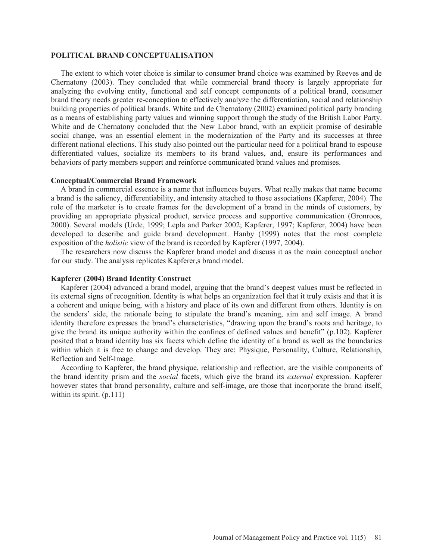## **POLITICAL BRAND CONCEPTUALISATION**

 The extent to which voter choice is similar to consumer brand choice was examined by Reeves and de Chernatony (2003). They concluded that while commercial brand theory is largely appropriate for analyzing the evolving entity, functional and self concept components of a political brand, consumer brand theory needs greater re-conception to effectively analyze the differentiation, social and relationship building properties of political brands. White and de Chernatony (2002) examined political party branding as a means of establishing party values and winning support through the study of the British Labor Party. White and de Chernatony concluded that the New Labor brand, with an explicit promise of desirable social change, was an essential element in the modernization of the Party and its successes at three different national elections. This study also pointed out the particular need for a political brand to espouse differentiated values, socialize its members to its brand values, and, ensure its performances and behaviors of party members support and reinforce communicated brand values and promises.

### **Conceptual/Commercial Brand Framework**

 A brand in commercial essence is a name that influences buyers. What really makes that name become a brand is the saliency, differentiability, and intensity attached to those associations (Kapferer, 2004). The role of the marketer is to create frames for the development of a brand in the minds of customers, by providing an appropriate physical product, service process and supportive communication (Gronroos, 2000). Several models (Urde, 1999; Lepla and Parker 2002; Kapferer, 1997; Kapferer, 2004) have been developed to describe and guide brand development. Hanby (1999) notes that the most complete exposition of the *holistic* view of the brand is recorded by Kapferer (1997, 2004).

 The researchers now discuss the Kapferer brand model and discuss it as the main conceptual anchor for our study. The analysis replicates Kapferer,s brand model.

## **Kapferer (2004) Brand Identity Construct**

Kapferer (2004) advanced a brand model, arguing that the brand's deepest values must be reflected in its external signs of recognition. Identity is what helps an organization feel that it truly exists and that it is a coherent and unique being, with a history and place of its own and different from others. Identity is on the senders' side, the rationale being to stipulate the brand's meaning, aim and self image. A brand identity therefore expresses the brand's characteristics, "drawing upon the brand's roots and heritage, to give the brand its unique authority within the confines of defined values and benefit" (p.102). Kapferer posited that a brand identity has six facets which define the identity of a brand as well as the boundaries within which it is free to change and develop. They are: Physique, Personality, Culture, Relationship, Reflection and Self-Image.

 According to Kapferer, the brand physique, relationship and reflection, are the visible components of the brand identity prism and the *social* facets, which give the brand its *external* expression. Kapferer however states that brand personality, culture and self-image, are those that incorporate the brand itself. within its spirit. (p.111)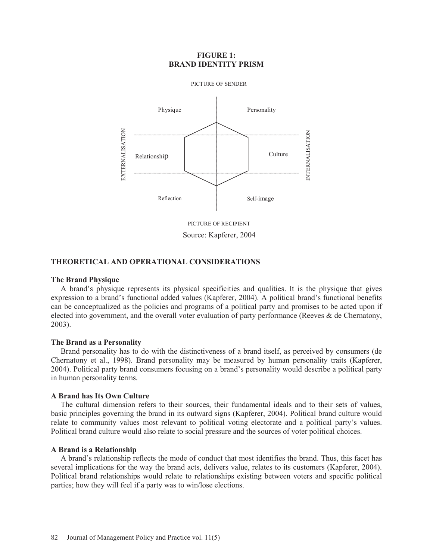## **FIGURE 1: BRAND IDENTITY PRISM**



Source: Kapferer, 2004

## **THEORETICAL AND OPERATIONAL CONSIDERATIONS**

### **The Brand Physique**

 A brand's physique represents its physical specificities and qualities. It is the physique that gives expression to a brand's functional added values (Kapferer, 2004). A political brand's functional benefits can be conceptualized as the policies and programs of a political party and promises to be acted upon if elected into government, and the overall voter evaluation of party performance (Reeves & de Chernatony, 2003).

### **The Brand as a Personality**

 Brand personality has to do with the distinctiveness of a brand itself, as perceived by consumers (de Chernatony et al., 1998). Brand personality may be measured by human personality traits (Kapferer, 2004). Political party brand consumers focusing on a brand's personality would describe a political party in human personality terms.

## **A Brand has Its Own Culture**

 The cultural dimension refers to their sources, their fundamental ideals and to their sets of values, basic principles governing the brand in its outward signs (Kapferer, 2004). Political brand culture would relate to community values most relevant to political voting electorate and a political party's values. Political brand culture would also relate to social pressure and the sources of voter political choices.

### **A Brand is a Relationship**

 A brand's relationship reflects the mode of conduct that most identifies the brand. Thus, this facet has several implications for the way the brand acts, delivers value, relates to its customers (Kapferer, 2004). Political brand relationships would relate to relationships existing between voters and specific political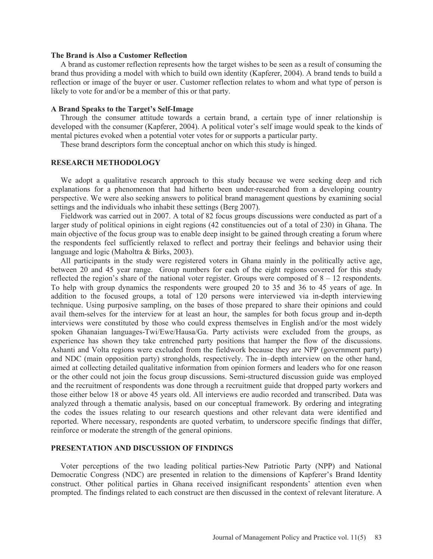## **The Brand is Also a Customer Reflection**

 A brand as customer reflection represents how the target wishes to be seen as a result of consuming the brand thus providing a model with which to build own identity (Kapferer, 2004). A brand tends to build a reflection or image of the buyer or user. Customer reflection relates to whom and what type of person is likely to vote for and/or be a member of this or that party.

## **A Brand Speaks to the Target's Self-Image**

 Through the consumer attitude towards a certain brand, a certain type of inner relationship is developed with the consumer (Kapferer, 2004). A political voter's self image would speak to the kinds of mental pictures evoked when a potential voter votes for or supports a particular party.

These brand descriptors form the conceptual anchor on which this study is hinged.

## **RESEARCH METHODOLOGY**

We adopt a qualitative research approach to this study because we were seeking deep and rich explanations for a phenomenon that had hitherto been under-researched from a developing country perspective. We were also seeking answers to political brand management questions by examining social settings and the individuals who inhabit these settings (Berg 2007).

 Fieldwork was carried out in 2007. A total of 82 focus groups discussions were conducted as part of a larger study of political opinions in eight regions (42 constituencies out of a total of 230) in Ghana. The main objective of the focus group was to enable deep insight to be gained through creating a forum where the respondents feel sufficiently relaxed to reflect and portray their feelings and behavior using their language and logic (Maholtra & Birks, 2003).

 All participants in the study were registered voters in Ghana mainly in the politically active age, between 20 and 45 year range. Group numbers for each of the eight regions covered for this study reflected the region's share of the national voter register. Groups were composed of  $8 - 12$  respondents. To help with group dynamics the respondents were grouped 20 to 35 and 36 to 45 years of age. In addition to the focused groups, a total of 120 persons were interviewed via in-depth interviewing technique. Using purposive sampling, on the bases of those prepared to share their opinions and could avail them-selves for the interview for at least an hour, the samples for both focus group and in-depth interviews were constituted by those who could express themselves in English and/or the most widely spoken Ghanaian languages-Twi/Ewe/Hausa/Ga. Party activists were excluded from the groups, as experience has shown they take entrenched party positions that hamper the flow of the discussions. Ashanti and Volta regions were excluded from the fieldwork because they are NPP (government party) and NDC (main opposition party) strongholds, respectively. The in–depth interview on the other hand, aimed at collecting detailed qualitative information from opinion formers and leaders who for one reason or the other could not join the focus group discussions. Semi-structured discussion guide was employed and the recruitment of respondents was done through a recruitment guide that dropped party workers and those either below 18 or above 45 years old. All interviews ere audio recorded and transcribed. Data was analyzed through a thematic analysis, based on our conceptual framework. By ordering and integrating the codes the issues relating to our research questions and other relevant data were identified and reported. Where necessary, respondents are quoted verbatim, to underscore specific findings that differ, reinforce or moderate the strength of the general opinions.

## **PRESENTATION AND DISCUSSION OF FINDINGS**

 Voter perceptions of the two leading political parties-New Patriotic Party (NPP) and National Democratic Congress (NDC) are presented in relation to the dimensions of Kapferer's Brand Identity construct. Other political parties in Ghana received insignificant respondents' attention even when prompted. The findings related to each construct are then discussed in the context of relevant literature. A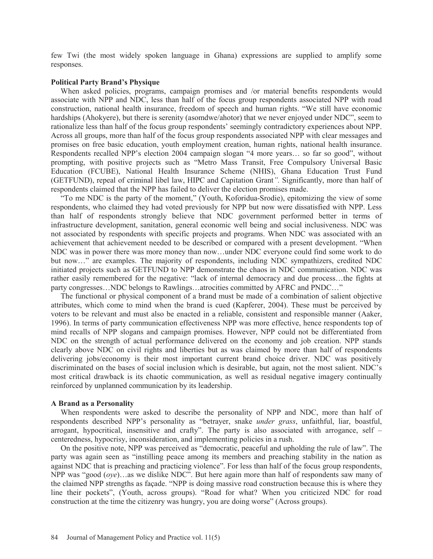few Twi (the most widely spoken language in Ghana) expressions are supplied to amplify some responses.

### **Political Party Brand's Physique**

 When asked policies, programs, campaign promises and /or material benefits respondents would associate with NPP and NDC, less than half of the focus group respondents associated NPP with road construction, national health insurance, freedom of speech and human rights. "We still have economic hardships (Ahokyere), but there is serenity (asomdwe/ahotor) that we never enjoyed under NDC", seem to rationalize less than half of the focus group respondents' seemingly contradictory experiences about NPP. Across all groups, more than half of the focus group respondents associated NPP with clear messages and promises on free basic education, youth employment creation, human rights, national health insurance. Respondents recalled NPP's election 2004 campaign slogan "4 more years… so far so good", without prompting, with positive projects such as "Metro Mass Transit, Free Compulsory Universal Basic Education (FCUBE), National Health Insurance Scheme (NHIS), Ghana Education Trust Fund (GETFUND), repeal of criminal libel law, HIPC and Capitation Grant*".* Significantly, more than half of respondents claimed that the NPP has failed to deliver the election promises made.

 "To me NDC is the party of the moment," (Youth, Koforidua-Srodie), epitomizing the view of some respondents, who claimed they had voted previously for NPP but now were dissatisfied with NPP. Less than half of respondents strongly believe that NDC government performed better in terms of infrastructure development, sanitation, general economic well being and social inclusiveness. NDC was not associated by respondents with specific projects and programs. When NDC was associated with an achievement that achievement needed to be described or compared with a present development. "When NDC was in power there was more money than now…under NDC everyone could find some work to do but now…" are examples. The majority of respondents, including NDC sympathizers, credited NDC initiated projects such as GETFUND to NPP demonstrate the chaos in NDC communication. NDC was rather easily remembered for the negative: "lack of internal democracy and due process…the fights at party congresses…NDC belongs to Rawlings…atrocities committed by AFRC and PNDC…"

 The functional or physical component of a brand must be made of a combination of salient objective attributes, which come to mind when the brand is cued (Kapferer, 2004). These must be perceived by voters to be relevant and must also be enacted in a reliable, consistent and responsible manner (Aaker, 1996). In terms of party communication effectiveness NPP was more effective, hence respondents top of mind recalls of NPP slogans and campaign promises. However, NPP could not be differentiated from NDC on the strength of actual performance delivered on the economy and job creation. NPP stands clearly above NDC on civil rights and liberties but as was claimed by more than half of respondents delivering jobs/economy is their most important current brand choice driver. NDC was positively discriminated on the bases of social inclusion which is desirable, but again, not the most salient. NDC's most critical drawback is its chaotic communication, as well as residual negative imagery continually reinforced by unplanned communication by its leadership.

#### **A Brand as a Personality**

 When respondents were asked to describe the personality of NPP and NDC, more than half of respondents described NPP's personality as "betrayer, snake *under grass*, unfaithful, liar, boastful, arrogant, hypocritical, insensitive and crafty". The party is also associated with arrogance, self – centeredness, hypocrisy, inconsideration, and implementing policies in a rush.

 On the positive note, NPP was perceived as "democratic, peaceful and upholding the rule of law". The party was again seen as "instilling peace among its members and preaching stability in the nation as against NDC that is preaching and practicing violence". For less than half of the focus group respondents, NPP was "good (*oye*)…as we dislike NDC". But here again more than half of respondents saw many of the claimed NPP strengths as façade. "NPP is doing massive road construction because this is where they line their pockets", (Youth, across groups). "Road for what? When you criticized NDC for road construction at the time the citizenry was hungry, you are doing worse" (Across groups).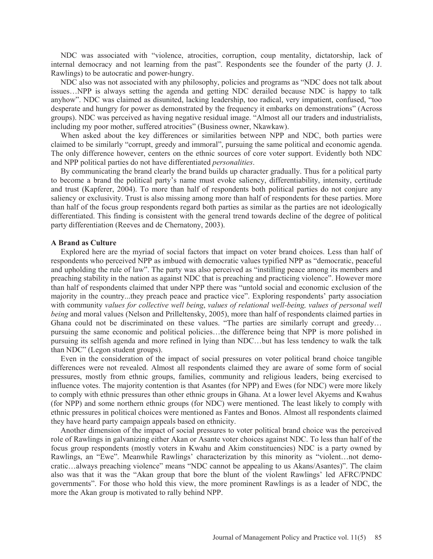NDC was associated with "violence, atrocities, corruption, coup mentality, dictatorship, lack of internal democracy and not learning from the past". Respondents see the founder of the party (J. J. Rawlings) to be autocratic and power-hungry.

 NDC also was not associated with any philosophy, policies and programs as "NDC does not talk about issues…NPP is always setting the agenda and getting NDC derailed because NDC is happy to talk anyhow". NDC was claimed as disunited, lacking leadership, too radical, very impatient, confused, "too desperate and hungry for power as demonstrated by the frequency it embarks on demonstrations" (Across groups). NDC was perceived as having negative residual image. "Almost all our traders and industrialists, including my poor mother, suffered atrocities" (Business owner, Nkawkaw).

 When asked about the key differences or similarities between NPP and NDC, both parties were claimed to be similarly "corrupt, greedy and immoral", pursuing the same political and economic agenda. The only difference however, centers on the ethnic sources of core voter support. Evidently both NDC and NPP political parties do not have differentiated *personalities*.

 By communicating the brand clearly the brand builds up character gradually. Thus for a political party to become a brand the political party's name must evoke saliency, differentiability, intensity, certitude and trust (Kapferer, 2004). To more than half of respondents both political parties do not conjure any saliency or exclusivity. Trust is also missing among more than half of respondents for these parties. More than half of the focus group respondents regard both parties as similar as the parties are not ideologically differentiated. This finding is consistent with the general trend towards decline of the degree of political party differentiation (Reeves and de Chernatony, 2003).

## **A Brand as Culture**

 Explored here are the myriad of social factors that impact on voter brand choices. Less than half of respondents who perceived NPP as imbued with democratic values typified NPP as "democratic, peaceful and upholding the rule of law". The party was also perceived as "instilling peace among its members and preaching stability in the nation as against NDC that is preaching and practicing violence". However more than half of respondents claimed that under NPP there was "untold social and economic exclusion of the majority in the country...they preach peace and practice vice". Exploring respondents' party association with community *values for collective well being*, *values of relational well-being, values of personal well being* and moral values (Nelson and Prilleltensky, 2005), more than half of respondents claimed parties in Ghana could not be discriminated on these values. "The parties are similarly corrupt and greedy… pursuing the same economic and political policies…the difference being that NPP is more polished in pursuing its selfish agenda and more refined in lying than NDC…but has less tendency to walk the talk than NDC" (Legon student groups).

 Even in the consideration of the impact of social pressures on voter political brand choice tangible differences were not revealed. Almost all respondents claimed they are aware of some form of social pressures, mostly from ethnic groups, families, community and religious leaders, being exercised to influence votes. The majority contention is that Asantes (for NPP) and Ewes (for NDC) were more likely to comply with ethnic pressures than other ethnic groups in Ghana. At a lower level Akyems and Kwahus (for NPP) and some northern ethnic groups (for NDC) were mentioned. The least likely to comply with ethnic pressures in political choices were mentioned as Fantes and Bonos. Almost all respondents claimed they have heard party campaign appeals based on ethnicity.

 Another dimension of the impact of social pressures to voter political brand choice was the perceived role of Rawlings in galvanizing either Akan or Asante voter choices against NDC. To less than half of the focus group respondents (mostly voters in Kwahu and Akim constituencies) NDC is a party owned by Rawlings, an "Ewe". Meanwhile Rawlings' characterization by this minority as "violent…not democratic…always preaching violence" means "NDC cannot be appealing to us Akans/Asantes)". The claim also was that it was the "Akan group that bore the blunt of the violent Rawlings' led AFRC/PNDC governments". For those who hold this view, the more prominent Rawlings is as a leader of NDC, the more the Akan group is motivated to rally behind NPP.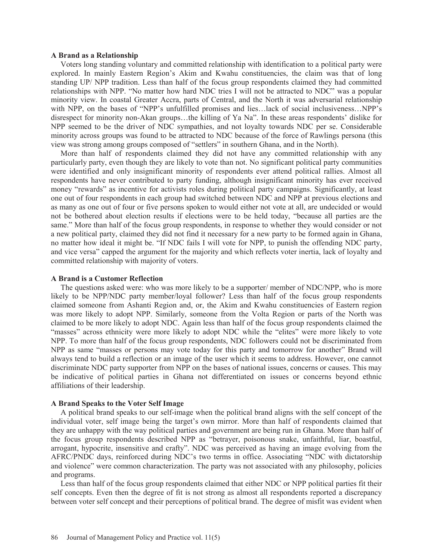## **A Brand as a Relationship**

 Voters long standing voluntary and committed relationship with identification to a political party were explored. In mainly Eastern Region's Akim and Kwahu constituencies, the claim was that of long standing UP/ NPP tradition. Less than half of the focus group respondents claimed they had committed relationships with NPP. "No matter how hard NDC tries I will not be attracted to NDC" was a popular minority view. In coastal Greater Accra, parts of Central, and the North it was adversarial relationship with NPP, on the bases of "NPP's unfulfilled promises and lies…lack of social inclusiveness…NPP's disrespect for minority non-Akan groups…the killing of Ya Na". In these areas respondents' dislike for NPP seemed to be the driver of NDC sympathies, and not loyalty towards NDC per se. Considerable minority across groups was found to be attracted to NDC because of the force of Rawlings persona (this view was strong among groups composed of "settlers" in southern Ghana, and in the North).

 More than half of respondents claimed they did not have any committed relationship with any particularly party, even though they are likely to vote than not. No significant political party communities were identified and only insignificant minority of respondents ever attend political rallies. Almost all respondents have never contributed to party funding, although insignificant minority has ever received money "rewards" as incentive for activists roles during political party campaigns. Significantly, at least one out of four respondents in each group had switched between NDC and NPP at previous elections and as many as one out of four or five persons spoken to would either not vote at all, are undecided or would not be bothered about election results if elections were to be held today, "because all parties are the same." More than half of the focus group respondents, in response to whether they would consider or not a new political party, claimed they did not find it necessary for a new party to be formed again in Ghana, no matter how ideal it might be. "If NDC fails I will vote for NPP, to punish the offending NDC party, and vice versa" capped the argument for the majority and which reflects voter inertia, lack of loyalty and committed relationship with majority of voters.

### **A Brand is a Customer Reflection**

 The questions asked were: who was more likely to be a supporter/ member of NDC/NPP, who is more likely to be NPP/NDC party member/loyal follower? Less than half of the focus group respondents claimed someone from Ashanti Region and, or, the Akim and Kwahu constituencies of Eastern region was more likely to adopt NPP. Similarly, someone from the Volta Region or parts of the North was claimed to be more likely to adopt NDC. Again less than half of the focus group respondents claimed the "masses" across ethnicity were more likely to adopt NDC while the "elites" were more likely to vote NPP. To more than half of the focus group respondents, NDC followers could not be discriminated from NPP as same "masses or persons may vote today for this party and tomorrow for another" Brand will always tend to build a reflection or an image of the user which it seems to address. However, one cannot discriminate NDC party supporter from NPP on the bases of national issues, concerns or causes. This may be indicative of political parties in Ghana not differentiated on issues or concerns beyond ethnic affiliations of their leadership.

## **A Brand Speaks to the Voter Self Image**

 A political brand speaks to our self-image when the political brand aligns with the self concept of the individual voter, self image being the target's own mirror. More than half of respondents claimed that they are unhappy with the way political parties and government are being run in Ghana. More than half of the focus group respondents described NPP as "betrayer, poisonous snake, unfaithful, liar, boastful, arrogant, hypocrite, insensitive and crafty". NDC was perceived as having an image evolving from the AFRC/PNDC days, reinforced during NDC's two terms in office. Associating "NDC with dictatorship and violence" were common characterization. The party was not associated with any philosophy, policies and programs.

 Less than half of the focus group respondents claimed that either NDC or NPP political parties fit their self concepts. Even then the degree of fit is not strong as almost all respondents reported a discrepancy between voter self concept and their perceptions of political brand. The degree of misfit was evident when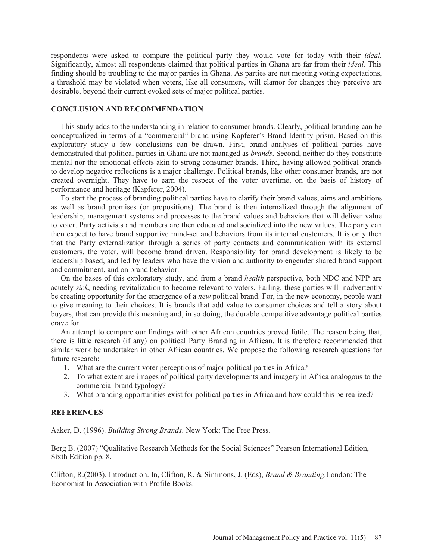respondents were asked to compare the political party they would vote for today with their *ideal*. Significantly, almost all respondents claimed that political parties in Ghana are far from their *ideal*. This finding should be troubling to the major parties in Ghana. As parties are not meeting voting expectations, a threshold may be violated when voters, like all consumers, will clamor for changes they perceive are desirable, beyond their current evoked sets of major political parties.

## **CONCLUSION AND RECOMMENDATION**

 This study adds to the understanding in relation to consumer brands. Clearly, political branding can be conceptualized in terms of a "commercial" brand using Kapferer's Brand Identity prism. Based on this exploratory study a few conclusions can be drawn. First, brand analyses of political parties have demonstrated that political parties in Ghana are not managed as *brands*. Second, neither do they constitute mental nor the emotional effects akin to strong consumer brands. Third, having allowed political brands to develop negative reflections is a major challenge. Political brands, like other consumer brands, are not created overnight. They have to earn the respect of the voter overtime, on the basis of history of performance and heritage (Kapferer, 2004).

 To start the process of branding political parties have to clarify their brand values, aims and ambitions as well as brand promises (or propositions). The brand is then internalized through the alignment of leadership, management systems and processes to the brand values and behaviors that will deliver value to voter. Party activists and members are then educated and socialized into the new values. The party can then expect to have brand supportive mind-set and behaviors from its internal customers. It is only then that the Party externalization through a series of party contacts and communication with its external customers, the voter, will become brand driven. Responsibility for brand development is likely to be leadership based, and led by leaders who have the vision and authority to engender shared brand support and commitment, and on brand behavior.

 On the bases of this exploratory study, and from a brand *health* perspective, both NDC and NPP are acutely *sick*, needing revitalization to become relevant to voters. Failing, these parties will inadvertently be creating opportunity for the emergence of a *new* political brand. For, in the new economy, people want to give meaning to their choices. It is brands that add value to consumer choices and tell a story about buyers, that can provide this meaning and, in so doing, the durable competitive advantage political parties crave for.

 An attempt to compare our findings with other African countries proved futile. The reason being that, there is little research (if any) on political Party Branding in African. It is therefore recommended that similar work be undertaken in other African countries. We propose the following research questions for future research:

- 1. What are the current voter perceptions of major political parties in Africa?
- 2. To what extent are images of political party developments and imagery in Africa analogous to the commercial brand typology?
- 3. What branding opportunities exist for political parties in Africa and how could this be realized?

## **REFERENCES**

Aaker, D. (1996). *Building Strong Brands*. New York: The Free Press.

Berg B. (2007) "Qualitative Research Methods for the Social Sciences" Pearson International Edition, Sixth Edition pp. 8.

Clifton, R.(2003). Introduction. In, Clifton, R. & Simmons, J. (Eds), *Brand & Branding*.London: The Economist In Association with Profile Books.